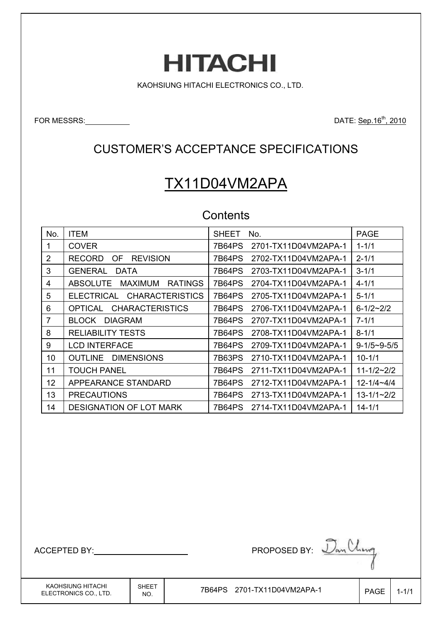# **HITACHI**

KAOHSIUNG HITACHI ELECTRONICS CO., LTD.

FOR MESSRS: DATE: Sep.16th, 2010

### CUSTOMER'S ACCEPTANCE SPECIFICATIONS

# TX11D04VM2APA

### **Contents**

| No.             | <b>ITEM</b>                                         | <b>SHEET</b><br>No.            | <b>PAGE</b>         |
|-----------------|-----------------------------------------------------|--------------------------------|---------------------|
|                 | <b>COVER</b>                                        | 2701-TX11D04VM2APA-1<br>7B64PS | $1 - 1/1$           |
| 2               | <b>REVISION</b><br><b>RECORD</b><br>OF.             | 7B64PS<br>2702-TX11D04VM2APA-1 | $2 - 1/1$           |
| 3               | <b>GENERAL</b><br><b>DATA</b>                       | 7B64PS<br>2703-TX11D04VM2APA-1 | $3 - 1/1$           |
| 4               | <b>RATINGS</b><br><b>ABSOLUTE</b><br><b>MAXIMUM</b> | 7B64PS<br>2704-TX11D04VM2APA-1 | $4 - 1/1$           |
| 5               | <b>CHARACTERISTICS</b><br>ELECTRICAL                | 7B64PS<br>2705-TX11D04VM2APA-1 | $5 - 1/1$           |
| 6               | <b>CHARACTERISTICS</b><br><b>OPTICAL</b>            | 7B64PS<br>2706-TX11D04VM2APA-1 | $6 - 1/2 - 2/2$     |
| 7               | <b>DIAGRAM</b><br><b>BLOCK</b>                      | 7B64PS<br>2707-TX11D04VM2APA-1 | $7 - 1/1$           |
| 8               | <b>RELIABILITY TESTS</b>                            | 7B64PS<br>2708-TX11D04VM2APA-1 | $8 - 1/1$           |
| 9               | <b>LCD INTERFACE</b>                                | 7B64PS<br>2709-TX11D04VM2APA-1 | $9 - 1/5 - 9 - 5/5$ |
| 10              | <b>DIMENSIONS</b><br><b>OUTLINE</b>                 | 7B63PS<br>2710-TX11D04VM2APA-1 | $10 - 1/1$          |
| 11              | <b>TOUCH PANEL</b>                                  | 7B64PS<br>2711-TX11D04VM2APA-1 | $11 - 1/2 - 2/2$    |
| 12 <sup>2</sup> | APPEARANCE STANDARD                                 | 2712-TX11D04VM2APA-1<br>7B64PS | $12 - 1/4 - 4/4$    |
| 13              | <b>PRECAUTIONS</b>                                  | 7B64PS<br>2713-TX11D04VM2APA-1 | $13 - 1/1 - 2/2$    |
| 14              | <b>DESIGNATION OF LOT MARK</b>                      | 7B64PS<br>2714-TX11D04VM2APA-1 | $14 - 1/1$          |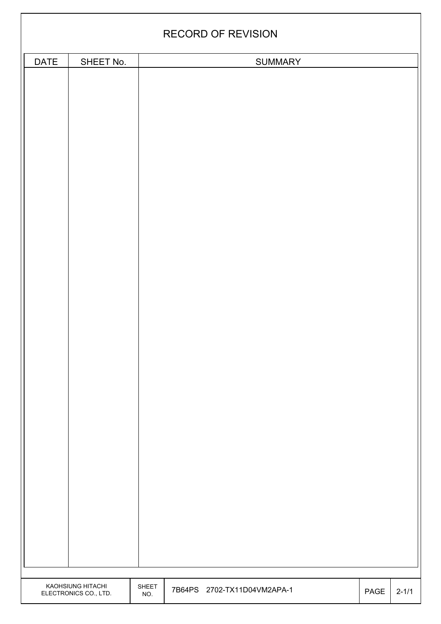|             | <b>RECORD OF REVISION</b>                  |              |  |                             |  |                              |           |  |  |
|-------------|--------------------------------------------|--------------|--|-----------------------------|--|------------------------------|-----------|--|--|
|             |                                            |              |  |                             |  |                              |           |  |  |
| <b>DATE</b> | SHEET No.                                  |              |  | <b>SUMMARY</b>              |  |                              |           |  |  |
|             | KAOHSIUNG HITACHI<br>ELECTRONICS CO., LTD. | SHEET<br>NO. |  | 7B64PS 2702-TX11D04VM2APA-1 |  | $\ensuremath{\mathsf{PAGE}}$ | $2 - 1/1$ |  |  |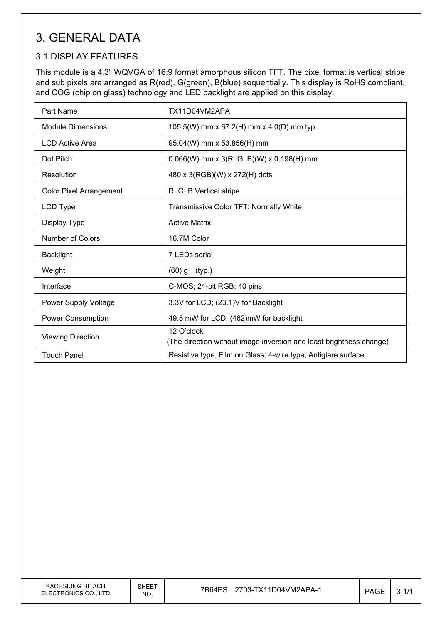# 3. GENERAL DATA

#### 3.1 DISPLAY FEATURES

This module is a 4.3" WQVGA of 16:9 format amorphous silicon TFT. The pixel format is vertical stripe and sub pixels are arranged as R(red), G(green), B(blue) sequentially. This display is RoHS compliant, and COG (chip on glass) technology and LED backlight are applied on this display.

| Part Name                      | TX11D04VM2APA                                                                     |
|--------------------------------|-----------------------------------------------------------------------------------|
| <b>Module Dimensions</b>       | 105.5(W) mm x 67.2(H) mm x 4.0(D) mm typ.                                         |
| <b>LCD Active Area</b>         | 95.04(W) mm x 53.856(H) mm                                                        |
| Dot Pitch                      | $0.066(W)$ mm x 3(R, G, B)(W) x 0.198(H) mm                                       |
| Resolution                     | 480 x 3(RGB)(W) x 272(H) dots                                                     |
| <b>Color Pixel Arrangement</b> | R, G, B Vertical stripe                                                           |
| LCD Type                       | Transmissive Color TFT; Normally White                                            |
| Display Type                   | <b>Active Matrix</b>                                                              |
| Number of Colors               | 16.7M Color                                                                       |
| <b>Backlight</b>               | 7 LEDs serial                                                                     |
| Weight                         | $(60)$ g $(typ.)$                                                                 |
| Interface                      | C-MOS; 24-bit RGB; 40 pins                                                        |
| Power Supply Voltage           | 3.3V for LCD; (23.1)V for Backlight                                               |
| Power Consumption              | 49.5 mW for LCD; (462)mW for backlight                                            |
| <b>Viewing Direction</b>       | 12 O'clock<br>(The direction without image inversion and least brightness change) |
| Touch Panel                    | Resistive type, Film on Glass; 4-wire type, Antiglare surface                     |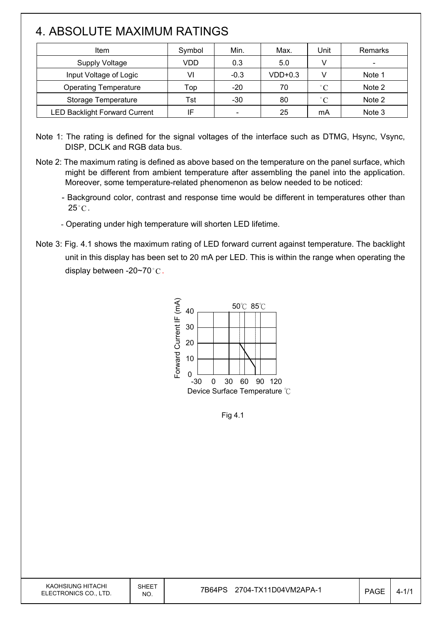# 4. ABSOLUTE MAXIMUM RATINGS

| Item                                 | Symbol | Min.                         | Max.      | Jnit         | Remarks |
|--------------------------------------|--------|------------------------------|-----------|--------------|---------|
| <b>Supply Voltage</b>                | VDD    | 0.3                          | 5.0       |              |         |
| Input Voltage of Logic               | VI     | $-0.3$                       | $VDD+0.3$ | v            | Note 1  |
| <b>Operating Temperature</b>         | Top    | $-20$                        | 70        | $\degree$ C  | Note 2  |
| Storage Temperature                  | Tst    | $-30$                        | 80        | $^{\circ}$ C | Note 2  |
| <b>LED Backlight Forward Current</b> | IF     | $\qquad \qquad \blacksquare$ | 25        | mA           | Note 3  |

Note 1: The rating is defined for the signal voltages of the interface such as DTMG, Hsync, Vsync, DISP, DCLK and RGB data bus.

- Note 2: The maximum rating is defined as above based on the temperature on the panel surface, which might be different from ambient temperature after assembling the panel into the application. Moreover, some temperature-related phenomenon as below needed to be noticed:
	- Background color, contrast and response time would be different in temperatures other than  $25^{\circ}$ C.
	- Operating under high temperature will shorten LED lifetime.
- Note 3: Fig. 4.1 shows the maximum rating of LED forward current against temperature. The backlight unit in this display has been set to 20 mA per LED. This is within the range when operating the display between -20~70 $^{\circ}$ C.



Fig 4.1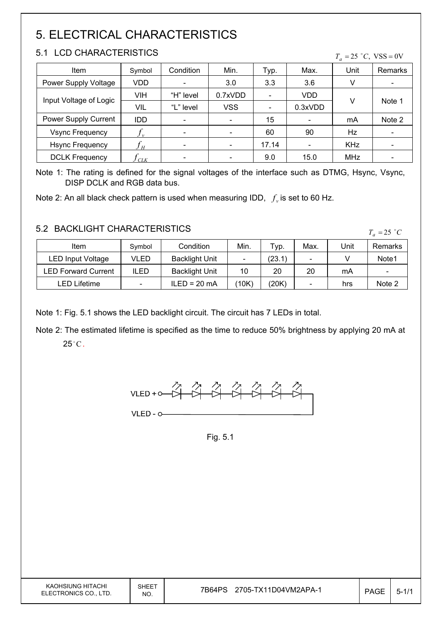# 5. ELECTRICAL CHARACTERISTICS

#### 5.1 LCD CHARACTERISTICS

| LUD UHARAUTERISTIUS    |            |           |            |       | $T_a = 25$ °C, VSS = 0V |            |                |
|------------------------|------------|-----------|------------|-------|-------------------------|------------|----------------|
| Item                   | Symbol     | Condition | Min.       | Typ.  | Max.                    | Unit       | <b>Remarks</b> |
| Power Supply Voltage   | VDD.       |           | 3.0        | 3.3   | 3.6                     | v          |                |
| Input Voltage of Logic | VIH        | "H" level | 0.7xVDD    |       | VDD                     | v          | Note 1         |
|                        | VIL        | "L" level | <b>VSS</b> |       | 0.3xVDD                 |            |                |
| Power Supply Current   | <b>IDD</b> |           |            | 15    |                         | mA         | Note 2         |
| <b>Vsync Frequency</b> | $J_{\nu}$  |           |            | 60    | 90                      | Hz         |                |
| <b>Hsync Frequency</b> | ${f}_H$    |           |            | 17.14 |                         | <b>KHz</b> |                |
| <b>DCLK Frequency</b>  | CLK        |           |            | 9.0   | 15.0                    | MHz        |                |

Note 1: The rating is defined for the signal voltages of the interface such as DTMG, Hsync, Vsync, DISP DCLK and RGB data bus.

Note 2: An all black check pattern is used when measuring IDD,  $f_v$  is set to 60 Hz.

#### 5.2 BACKLIGHT CHARACTERISTICS

| 3.2 BAUNLIUMT UMARAUTERISTIUS |             |                       |       |        |                          | $T_a = 25$ °C |                              |
|-------------------------------|-------------|-----------------------|-------|--------|--------------------------|---------------|------------------------------|
| Item                          | Symbol      | Condition             | Min.  | Typ.   | Max.                     | Unit          | Remarks                      |
| <b>LED Input Voltage</b>      | VLED        | <b>Backlight Unit</b> |       | (23.1) | $\overline{\phantom{0}}$ |               | Note <sub>1</sub>            |
| <b>LED Forward Current</b>    | <b>ILED</b> | <b>Backlight Unit</b> | 10    | 20     | 20                       | mA            | $\qquad \qquad \blacksquare$ |
| LED Lifetime                  |             | $ILED = 20 mA$        | (10K) | (20K)  | $\sim$                   | hrs           | Note 2                       |

Note 1: Fig. 5.1 shows the LED backlight circuit. The circuit has 7 LEDs in total.

Note 2: The estimated lifetime is specified as the time to reduce 50% brightness by applying 20 mA at  $25^{\circ}$ C.



Fig. 5.1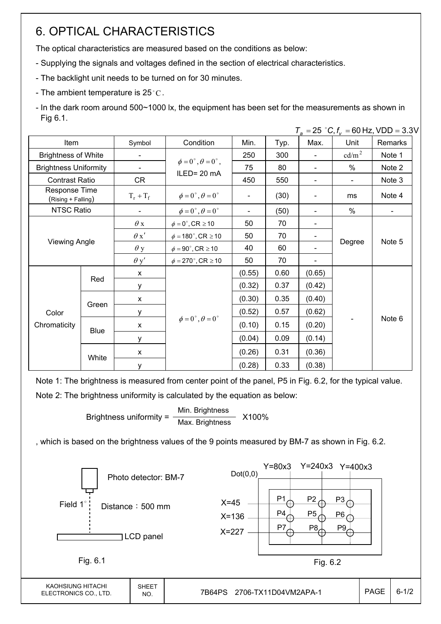## 6. OPTICAL CHARACTERISTICS

The optical characteristics are measured based on the conditions as below:

- Supplying the signals and voltages defined in the section of electrical characteristics.
- The backlight unit needs to be turned on for 30 minutes.
- The ambient temperature is 25 $^{\circ}$ C.

- In the dark room around 500~1000 lx, the equipment has been set for the measurements as shown in Fig 6.1.

|                                     |             |             |                                          |        |      |                          |                   | $T_a = 25$ °C, $f_v = 60$ Hz, VDD = 3.3V |
|-------------------------------------|-------------|-------------|------------------------------------------|--------|------|--------------------------|-------------------|------------------------------------------|
| Item                                |             | Symbol      | Condition                                | Min.   | Typ. | Max.                     | Unit              | Remarks                                  |
| <b>Brightness of White</b>          |             |             |                                          | 250    | 300  | $\blacksquare$           | cd/m <sup>2</sup> | Note 1                                   |
| <b>Brightness Uniformity</b>        |             |             | $\phi = 0^{\circ}, \theta = 0^{\circ}$ , | 75     | 80   | $\overline{\phantom{a}}$ | $\%$              | Note 2                                   |
| <b>Contrast Ratio</b>               |             | <b>CR</b>   | ILED=20 mA                               | 450    | 550  | $\blacksquare$           | $\blacksquare$    | Note 3                                   |
| Response Time<br>(Rising + Falling) |             | $T_r + T_f$ | $\phi = 0^{\circ}, \theta = 0^{\circ}$   |        | (30) |                          | ms                | Note 4                                   |
| NTSC Ratio                          |             |             | $\phi = 0^{\circ}, \theta = 0^{\circ}$   |        | (50) |                          | %                 |                                          |
|                                     |             | $\theta$ x  | $\phi = 0^\circ$ , CR $\geq 10$          | 50     | 70   | $\overline{\phantom{a}}$ |                   | Note 5                                   |
|                                     |             | $\theta x'$ | $\phi = 180^\circ$ , CR $\geq 10$        | 50     | 70   | $\blacksquare$           | Degree            |                                          |
| <b>Viewing Angle</b>                |             | $\theta$ y  | $\phi = 90^{\circ}$ , CR $\geq 10$       | 40     | 60   | $\overline{\phantom{a}}$ |                   |                                          |
|                                     |             | $\theta$ y' | $\phi = 270^\circ$ , CR $\geq 10$        | 50     | 70   |                          |                   |                                          |
|                                     | Red         | X           |                                          | (0.55) | 0.60 | (0.65)                   |                   |                                          |
|                                     |             | y           |                                          | (0.32) | 0.37 | (0.42)                   |                   |                                          |
|                                     |             | X           |                                          | (0.30) | 0.35 | (0.40)                   |                   |                                          |
| Color<br>Chromaticity               | Green       | y           |                                          | (0.52) | 0.57 | (0.62)                   |                   |                                          |
|                                     | <b>Blue</b> | X           | $\phi = 0^\circ$ , $\theta = 0^\circ$    | (0.10) | 0.15 | (0.20)                   |                   | Note 6                                   |
|                                     |             | y           |                                          | (0.04) | 0.09 | (0.14)                   |                   |                                          |
|                                     | White       | X           |                                          | (0.26) | 0.31 | (0.36)                   |                   |                                          |
|                                     |             | у           |                                          | (0.28) | 0.33 | (0.38)                   |                   |                                          |

Note 1: The brightness is measured from center point of the panel, P5 in Fig. 6.2, for the typical value. Note 2: The brightness uniformity is calculated by the equation as below:

> Brightness uniformity =  $\frac{\text{Min.}_{\text{Br}}}{\text{Min.}_{\text{B}}}\times 100\%$ Max. Brightness

, which is based on the brightness values of the 9 points measured by BM-7 as shown in Fig. 6.2.

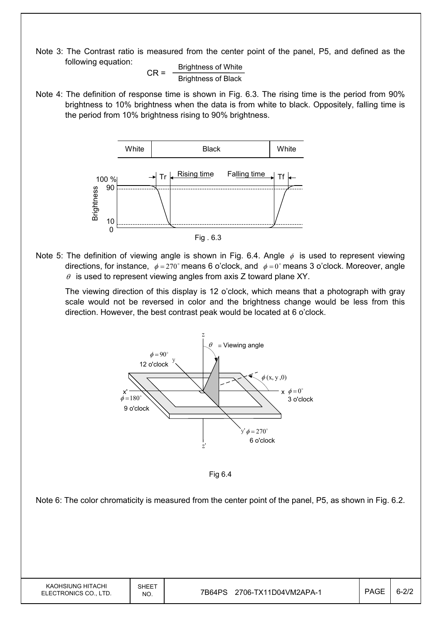Note 3: The Contrast ratio is measured from the center point of the panel, P5, and defined as the following equation:

$$
CR = \frac{Brightness \text{ of White}}{Brightness \text{ of Black}}
$$

Note 4: The definition of response time is shown in Fig. 6.3. The rising time is the period from 90% brightness to 10% brightness when the data is from white to black. Oppositely, falling time is the period from 10% brightness rising to 90% brightness.



Note 5: The definition of viewing angle is shown in Fig. 6.4. Angle  $\phi$  is used to represent viewing directions, for instance,  $\phi = 270^\circ$  means 6 o'clock, and  $\phi = 0^\circ$  means 3 o'clock. Moreover, angle  $\theta$  is used to represent viewing angles from axis Z toward plane XY.

 The viewing direction of this display is 12 o'clock, which means that a photograph with gray scale would not be reversed in color and the brightness change would be less from this direction. However, the best contrast peak would be located at 6 o'clock.



Fig 6.4

Note 6: The color chromaticity is measured from the center point of the panel, P5, as shown in Fig. 6.2.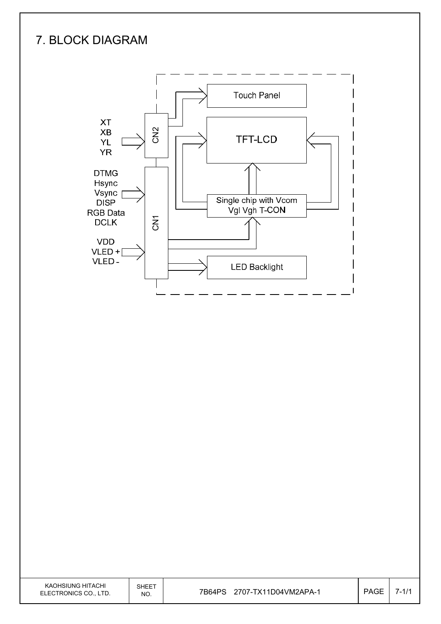# 7. BLOCK DIAGRAM

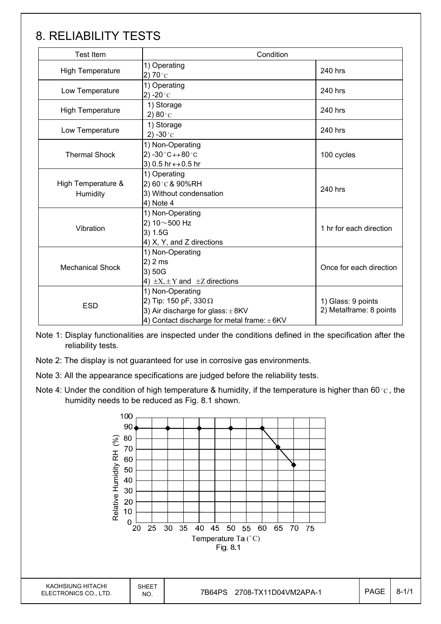### 8. RELIABILITY TESTS

| <b>Test Item</b>               | Condition                                                                                                                               |                                               |  |
|--------------------------------|-----------------------------------------------------------------------------------------------------------------------------------------|-----------------------------------------------|--|
| <b>High Temperature</b>        | 1) Operating<br>2) 70 $^{\circ}$ C                                                                                                      | 240 hrs                                       |  |
| Low Temperature                | 1) Operating<br>2) -20 $^{\circ}$ C                                                                                                     | 240 hrs                                       |  |
| <b>High Temperature</b>        | 1) Storage<br>2) $80^{\circ}$ C                                                                                                         | 240 hrs                                       |  |
| Low Temperature                | 1) Storage<br>2) -30 $^{\circ}$ C                                                                                                       | 240 hrs                                       |  |
| <b>Thermal Shock</b>           | 1) Non-Operating<br>2) -30 $^{\circ}$ C $\leftrightarrow$ 80 $^{\circ}$ C<br>3) 0.5 hr ↔ 0.5 hr                                         | 100 cycles                                    |  |
| High Temperature &<br>Humidity | 1) Operating<br>2) 60°C & 90%RH<br>3) Without condensation<br>4) Note 4                                                                 | 240 hrs                                       |  |
| Vibration                      | 1) Non-Operating<br>2) $10 \sim 500$ Hz<br>3) 1.5G<br>4) X, Y, and Z directions                                                         | 1 hr for each direction                       |  |
| <b>Mechanical Shock</b>        | 1) Non-Operating<br>2) 2 ms<br>3) 50G<br>4) $\pm X, \pm Y$ and $\pm Z$ directions                                                       | Once for each direction                       |  |
| <b>ESD</b>                     | 1) Non-Operating<br>2) Tip: 150 pF, 330 $\Omega$<br>3) Air discharge for glass: $\pm$ 8KV<br>4) Contact discharge for metal frame: ±6KV | 1) Glass: 9 points<br>2) Metalframe: 8 points |  |

Note 1: Display functionalities are inspected under the conditions defined in the specification after the reliability tests.

Note 2: The display is not guaranteed for use in corrosive gas environments.

Note 3: All the appearance specifications are judged before the reliability tests.

Note 4: Under the condition of high temperature & humidity, if the temperature is higher than 60 °C, the humidity needs to be reduced as Fig. 8.1 shown.

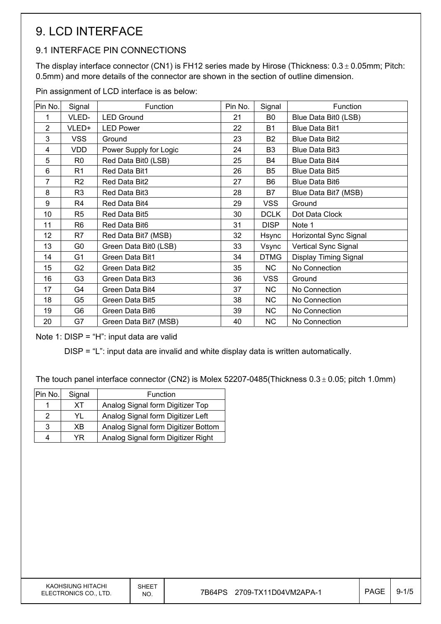# 9. LCD INTERFACE

#### 9.1 INTERFACE PIN CONNECTIONS

The display interface connector (CN1) is FH12 series made by Hirose (Thickness:  $0.3 \pm 0.05$ mm; Pitch: 0.5mm) and more details of the connector are shown in the section of outline dimension.

Pin assignment of LCD interface is as below:

| Pin No.        | Signal         | Function               | Pin No. | Signal         | Function                     |
|----------------|----------------|------------------------|---------|----------------|------------------------------|
| 1              | VLED-          | <b>LED Ground</b>      | 21      | B0             | Blue Data Bit0 (LSB)         |
| $\overline{2}$ | VLED+          | <b>LED Power</b>       | 22      | <b>B1</b>      | <b>Blue Data Bit1</b>        |
| 3              | <b>VSS</b>     | Ground                 | 23      | <b>B2</b>      | <b>Blue Data Bit2</b>        |
| 4              | <b>VDD</b>     | Power Supply for Logic | 24      | B <sub>3</sub> | <b>Blue Data Bit3</b>        |
| 5              | R <sub>0</sub> | Red Data Bit0 (LSB)    | 25      | <b>B4</b>      | <b>Blue Data Bit4</b>        |
| 6              | R <sub>1</sub> | Red Data Bit1          | 26      | B <sub>5</sub> | <b>Blue Data Bit5</b>        |
| 7              | R <sub>2</sub> | Red Data Bit2          | 27      | B <sub>6</sub> | <b>Blue Data Bit6</b>        |
| 8              | R <sub>3</sub> | Red Data Bit3          | 28      | <b>B7</b>      | Blue Data Bit7 (MSB)         |
| 9              | R4             | Red Data Bit4          | 29      | <b>VSS</b>     | Ground                       |
| 10             | R <sub>5</sub> | Red Data Bit5          | 30      | <b>DCLK</b>    | Dot Data Clock               |
| 11             | R <sub>6</sub> | Red Data Bit6          | 31      | <b>DISP</b>    | Note 1                       |
| 12             | R7             | Red Data Bit7 (MSB)    | 32      | Hsync          | Horizontal Sync Signal       |
| 13             | G0             | Green Data Bit0 (LSB)  | 33      | Vsync          | Vertical Sync Signal         |
| 14             | G <sub>1</sub> | Green Data Bit1        | 34      | <b>DTMG</b>    | <b>Display Timing Signal</b> |
| 15             | G <sub>2</sub> | Green Data Bit2        | 35      | NC             | No Connection                |
| 16             | G <sub>3</sub> | Green Data Bit3        | 36      | <b>VSS</b>     | Ground                       |
| 17             | G4             | Green Data Bit4        | 37      | NC             | No Connection                |
| 18             | G5             | Green Data Bit5        | 38      | NC             | No Connection                |
| 19             | G6             | Green Data Bit6        | 39      | NC             | No Connection                |
| 20             | G7             | Green Data Bit7 (MSB)  | 40      | <b>NC</b>      | No Connection                |

Note 1: DISP = "H": input data are valid

DISP = "L": input data are invalid and white display data is written automatically.

The touch panel interface connector (CN2) is Molex 52207-0485(Thickness  $0.3 \pm 0.05$ ; pitch 1.0mm)

| Pin No. | Signal | Function                            |
|---------|--------|-------------------------------------|
|         | XТ     | Analog Signal form Digitizer Top    |
| 2       | YL     | Analog Signal form Digitizer Left   |
| 3       | ΧB     | Analog Signal form Digitizer Bottom |
| 4       | YR     | Analog Signal form Digitizer Right  |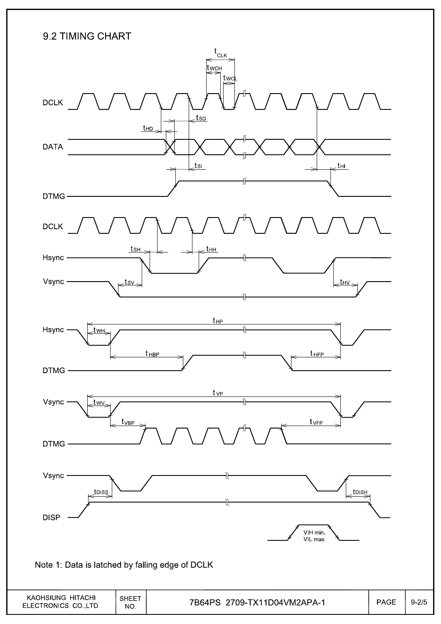### 9.2 TIMING CHART

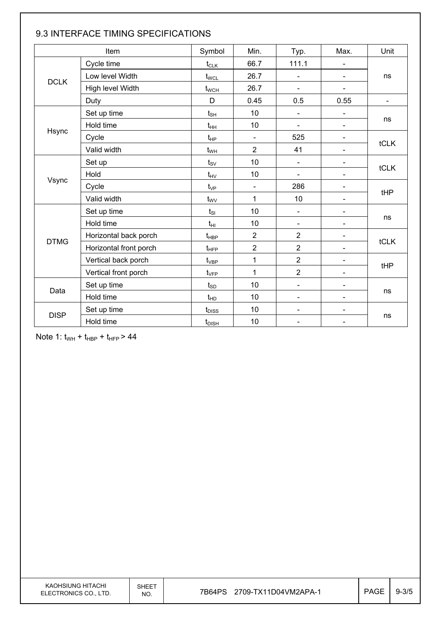|             | Item                   | Symbol                            | Min.                     | Typ.                         | Max.                         | Unit           |  |
|-------------|------------------------|-----------------------------------|--------------------------|------------------------------|------------------------------|----------------|--|
|             | Cycle time             | $t_{CLK}$                         | 66.7                     | 111.1                        |                              |                |  |
|             | Low level Width        | $t_{\text{WCL}}$                  | 26.7                     | $\overline{\phantom{a}}$     |                              | ns             |  |
| <b>DCLK</b> | High level Width       | $t_{\text{WCH}}$                  | 26.7                     | $\blacksquare$               | $\blacksquare$               |                |  |
|             | Duty                   | D                                 | 0.45                     | 0.5                          | 0.55                         | $\blacksquare$ |  |
|             | Set up time            | $t_{\scriptscriptstyle\text{SH}}$ | 10                       | $\qquad \qquad \blacksquare$ |                              |                |  |
|             | Hold time              | $t_{HH}$                          | 10                       | $\blacksquare$               | $\overline{\phantom{0}}$     | ns             |  |
| Hsync       | Cycle                  | $t_{HP}$                          | $\blacksquare$           | 525                          |                              |                |  |
|             | Valid width            | $t_{WH}$                          | $\overline{2}$           | 41                           |                              | tCLK           |  |
|             | Set up                 | $t_{\rm SV}$                      | 10                       | $\blacksquare$               |                              |                |  |
|             | Hold                   | $t_{HV}$                          | 10                       | $\blacksquare$               | $\overline{\phantom{a}}$     | tCLK           |  |
| Vsync       | Cycle                  | $t_{VP}$                          | $\overline{\phantom{0}}$ | 286                          | $\blacksquare$               |                |  |
|             | Valid width            | $t_{\rm WV}$                      | $\mathbf{1}$             | 10                           |                              | tHP            |  |
|             | Set up time            | $t_{SI}$                          | 10                       | $\overline{\phantom{a}}$     |                              |                |  |
|             | Hold time              | $t_{HI}$                          | 10                       | $\overline{\phantom{a}}$     |                              | ns             |  |
| <b>DTMG</b> | Horizontal back porch  | $t_{\sf HBP}$                     | $\overline{2}$           | $\overline{2}$               | $\overline{\phantom{0}}$     | <b>tCLK</b>    |  |
|             | Horizontal front porch | $t_{\text{HFP}}$                  | $\overline{2}$           | $\overline{2}$               | $\overline{\phantom{a}}$     |                |  |
|             | Vertical back porch    | $t_{\rm VBP}$                     | $\mathbf{1}$             | $\overline{2}$               |                              | tHP            |  |
|             | Vertical front porch   | $t_{\rm VFP}$                     | $\mathbf{1}$             | $\overline{2}$               | $\qquad \qquad \blacksquare$ |                |  |
|             | Set up time            | $t_{SD}$                          | 10                       | $\blacksquare$               |                              |                |  |
| Data        | Hold time              | $t_{HD}$                          | 10                       | $\overline{\phantom{a}}$     |                              | ns             |  |
|             | Set up time            | $t_{\text{DISS}}$                 | 10                       | $\overline{\phantom{a}}$     | $\qquad \qquad \blacksquare$ |                |  |
| <b>DISP</b> | Hold time              | $t_{\text{DISH}}$                 | 10                       | $\blacksquare$               |                              | ns             |  |

#### 9.3 INTERFACE TIMING SPECIFICATIONS

Note 1:  $t_{WH}$  +  $t_{HBP}$  +  $t_{HFP}$  > 44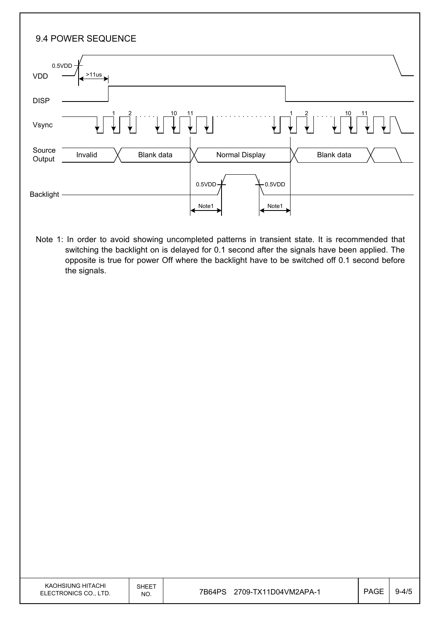| 9.4 POWER SEQUENCE                                                                                                                                                                                                                                                                                 |  |
|----------------------------------------------------------------------------------------------------------------------------------------------------------------------------------------------------------------------------------------------------------------------------------------------------|--|
| 0.5VDD<br>>11us<br><b>VDD</b>                                                                                                                                                                                                                                                                      |  |
| <b>DISP</b>                                                                                                                                                                                                                                                                                        |  |
| Vsync                                                                                                                                                                                                                                                                                              |  |
| Source<br>Normal Display<br>Blank data<br>Blank data<br>Invalid<br>Output                                                                                                                                                                                                                          |  |
| 0.5VDD<br>0.5VDD<br><b>Backlight</b><br>Note1<br>Note1                                                                                                                                                                                                                                             |  |
| Note 1: In order to avoid showing uncompleted patterns in transient state. It is recommended that<br>switching the backlight on is delayed for 0.1 second after the signals have been applied. The<br>opposite is true for power Off where the backlight have to be switched off 0.1 second before |  |

the signals.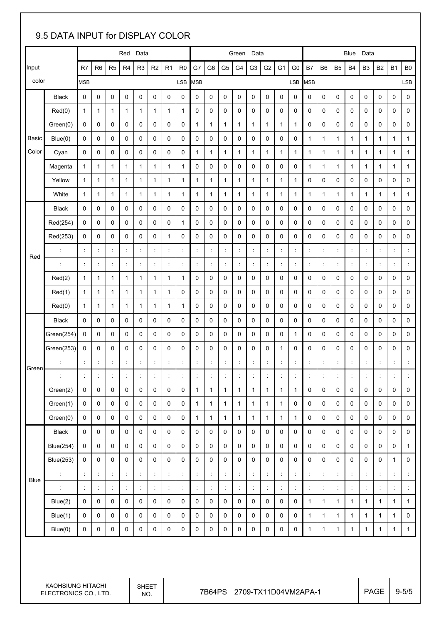### 9.5 DATA INPUT for DISPLAY COLOR Red Data **Blue Data** Green Data **Blue Data** Blue Data R7 | R6 | R5 | R4 | R3 | R2 | R1 | R0 | G7 | G6 | G5 | G4 | G3 | G2 | G1 | G0 | B7 | B6 | B5 | B4 | B3 | B2 | B1 | B0 Input color MSB LSB MSB LSB MSB LSB Black 0 0 0 0 0 0 0 0 0 0 0 0 0 0 0 0 0 0 0 0 0 0 0 0 Red(0) 1 1 1 1 1 1 1 1 0 0 0 0 0 0 0 0 0 0 0 0 0 0 0 0 Green(0) 0 0 0 0 0 0 0 0 1 1 1 1 1 1 1 1 0 0 0 0 0 0 0 0 Blue(0) 0 0 0 0 0 0 0 0 0 0 0 0 0 0 0 0 1 1 1 1 1 1 1 1 Cyan 0 0 0 0 0 0 0 0 1 1 1 1 1 1 1 1 1 1 1 1 1 1 1 1 Magenta 1 1 1 1 1 1 1 1 0 0 0 0 0 0 0 0 1 1 1 1 1 1 1 1 Yellow 1 1 1 1 1 1 1 1 1 1 1 1 1 1 1 1 0 0 0 0 0 0 0 0 Basic Color White 1 1 1 1 1 1 1 1 1 1 1 1 1 1 1 1 1 1 1 1 1 1 1 1 Black 0 0 0 0 0 0 0 0 0 0 0 0 0 0 0 0 0 0 0 0 0 0 0 0 Red(254) 0 0 0 0 0 0 0 1 0 0 0 0 0 0 0 0 0 0 0 0 0 0 0 0 Red(253) 0 0 0 0 0 0 1 0 0 0 0 0 0 0 0 0 0 0 0 0 0 0 0 0 : : : : : : : : : : : : : : : : : : : : : : : : : : : : : : : : : : : : : : : : : : : : : : : : : : Red(2) 1 1 1 1 1 1 1 1 0 0 0 0 0 0 0 0 0 0 0 0 0 0 0 0 Red(1) 1 1 1 1 1 1 1 0 0 0 0 0 0 0 0 0 0 0 0 0 0 0 0 0 Red Red(0) 1 1 1 1 1 1 1 1 0 0 0 0 0 0 0 0 0 0 0 0 0 0 0 0 Black 0 0 0 0 0 0 0 0 0 0 0 0 0 0 0 0 0 0 0 0 0 0 0 0 Green(254) 0 0 0 0 0 0 0 0 0 0 0 0 0 0 0 1 0 0 0 0 0 0 0 0 Green(253) 0 0 0 0 0 0 0 0 0 0 0 0 0 0 1 0 0 0 0 0 0 0 0 0 : : : : : : : : : : : : : : : : : : : : : : : : : : : : : : : : : : : : : : : : : : : : : : : : : : Green(2) 0 0 0 0 0 0 0 0 1 1 1 1 1 1 1 1 0 0 0 0 0 0 0 0 Green(1) 0 0 0 0 0 0 0 0 1 1 1 1 1 1 1 0 0 0 0 0 0 0 0 0 Green Green(0) 0 0 0 0 0 0 0 0 1 1 1 1 1 1 1 1 0 0 0 0 0 0 0 0 Black 0 0 0 0 0 0 0 0 0 0 0 0 0 0 0 0 0 0 0 0 0 0 0 0 Blue(254) 0 0 0 0 0 0 0 0 0 0 0 0 0 0 0 0 0 0 0 0 0 0 0 1 Blue(253) 0 0 0 0 0 0 0 0 0 0 0 0 0 0 0 0 0 0 0 0 0 0 1 0 : : : : : : : : : : : : : : : : : : : : : : : : : : : : : : : : : : : : : : : : : : : : : : : : : : Blue(2) 0 0 0 0 0 0 0 0 0 0 0 0 0 0 0 0 1 1 1 1 1 1 1 1 Blue(1) 0 0 0 0 0 0 0 0 0 0 0 0 0 0 0 0 1 1 1 1 1 1 1 0 Blue Blue(0) 0 0 0 0 0 0 0 0 0 0 0 0 0 0 0 0 1 1 1 1 1 1 1 1 KAOHSIUNG HITACHI ELECTRONICS CO., LTD. SHEET  $N_{\text{NO.}}$  7B64PS 2709-TX11D04VM2APA-1  $\vert$  PAGE 9-5/5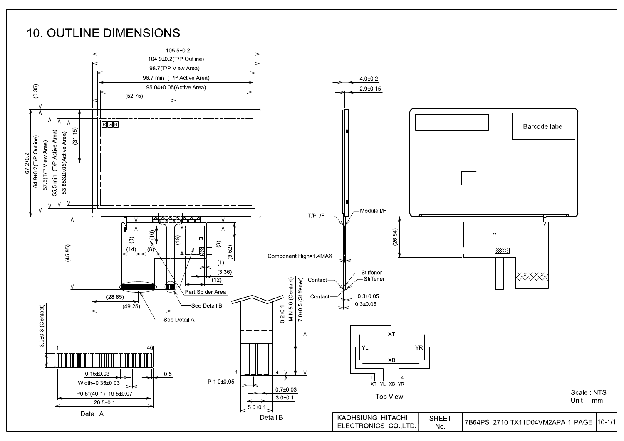### **10. OUTLINE DIMENSIONS**

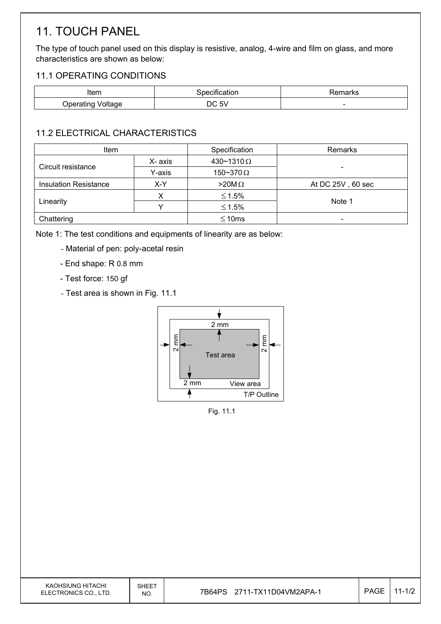# 11. TOUCH PANEL

The type of touch panel used on this display is resistive, analog, 4-wire and film on glass, and more characteristics are shown as below:

#### 11.1 OPERATING CONDITIONS

| Item                        | Specification | Remarks |
|-----------------------------|---------------|---------|
| Voltage<br><b>Operating</b> | C 5V ل<br>ില  | -       |

### 11.2 ELECTRICAL CHARACTERISTICS

| Item                         |         | Specification     | Remarks                      |  |
|------------------------------|---------|-------------------|------------------------------|--|
|                              | X- axis | 430~1310 $\Omega$ |                              |  |
| Circuit resistance           | Y-axis  | 150~370 $\Omega$  | -                            |  |
| <b>Insulation Resistance</b> | X-Y     | $>20M\Omega$      | At DC 25V, 60 sec            |  |
|                              |         | $≤ 1.5%$          |                              |  |
| Linearity                    |         | $≤ 1.5%$          | Note 1                       |  |
| Chattering                   |         | $\leq 10$ ms      | $\qquad \qquad \blacksquare$ |  |

Note 1: The test conditions and equipments of linearity are as below:

- Material of pen: poly-acetal resin
- End shape: R 0.8 mm
- Test force: 150 gf
- Test area is shown in Fig. 11.1



Fig. 11.1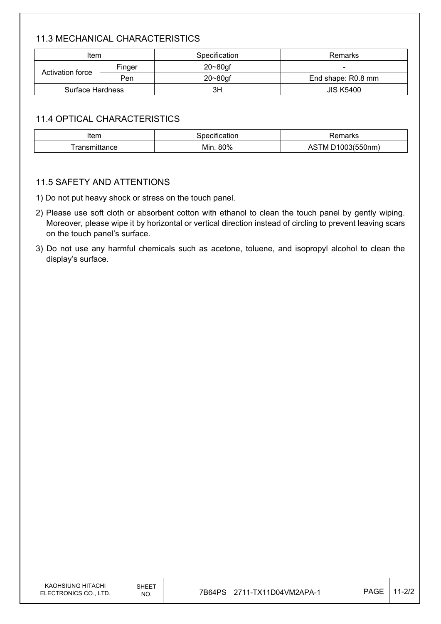### 11.3 MECHANICAL CHARACTERISTICS

| Item                    |        | Specification | Remarks            |
|-------------------------|--------|---------------|--------------------|
|                         | Finger | $20 - 80$ gf  |                    |
| Activation force        | Pen    | $20 - 80$ gf  | End shape: R0.8 mm |
| <b>Surface Hardness</b> |        | 3H            | <b>JIS K5400</b>   |

#### 11.4 OPTICAL CHARACTERISTICS

| Item  | ation      | ાાતા KS                                   |
|-------|------------|-------------------------------------------|
| *ance | 80%<br>Min | $\sim$ $\sqrt{5}$ $\sqrt{2}$<br>. M<br>¬∟ |

#### 11.5 SAFETY AND ATTENTIONS

1) Do not put heavy shock or stress on the touch panel.

- 2) Please use soft cloth or absorbent cotton with ethanol to clean the touch panel by gently wiping. Moreover, please wipe it by horizontal or vertical direction instead of circling to prevent leaving scars on the touch panel's surface.
- 3) Do not use any harmful chemicals such as acetone, toluene, and isopropyl alcohol to clean the display's surface.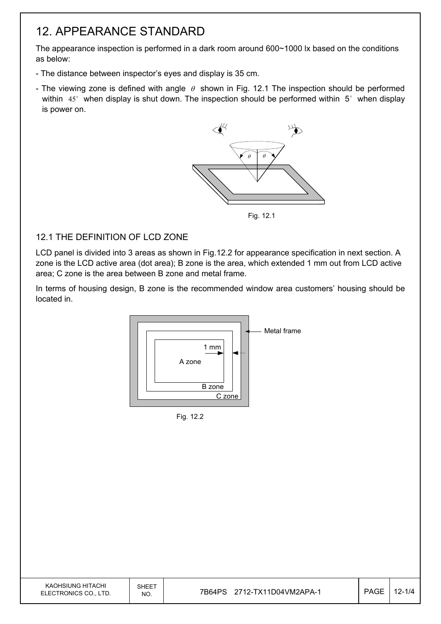### 12. APPEARANCE STANDARD

The appearance inspection is performed in a dark room around 600~1000 lx based on the conditions as below:

- The distance between inspector's eyes and display is 35 cm.
- The viewing zone is defined with angle  $\theta$  shown in Fig. 12.1 The inspection should be performed within  $45^\circ$  when display is shut down. The inspection should be performed within  $5^\circ$  when display is power on.



Fig. 12.1

#### 12.1 THE DEFINITION OF LCD ZONE

LCD panel is divided into 3 areas as shown in Fig.12.2 for appearance specification in next section. A zone is the LCD active area (dot area); B zone is the area, which extended 1 mm out from LCD active area; C zone is the area between B zone and metal frame.

In terms of housing design, B zone is the recommended window area customers' housing should be located in.



Fig. 12.2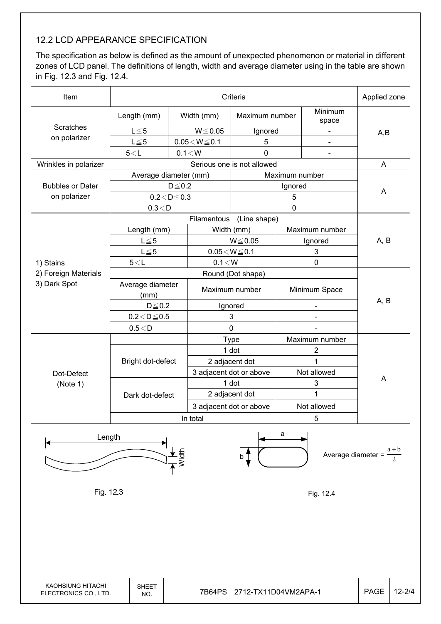#### 12.2 LCD APPEARANCE SPECIFICATION

The specification as below is defined as the amount of unexpected phenomenon or material in different zones of LCD panel. The definitions of length, width and average diameter using in the table are shown in Fig. 12.3 and Fig. 12.4.

| A,B                                   |
|---------------------------------------|
|                                       |
|                                       |
|                                       |
|                                       |
| A                                     |
|                                       |
|                                       |
| A                                     |
|                                       |
|                                       |
|                                       |
| A, B                                  |
|                                       |
|                                       |
|                                       |
|                                       |
| A, B                                  |
|                                       |
|                                       |
|                                       |
|                                       |
|                                       |
|                                       |
| A                                     |
|                                       |
|                                       |
|                                       |
|                                       |
| $\frac{a+b}{2}$<br>Average diameter = |
|                                       |
|                                       |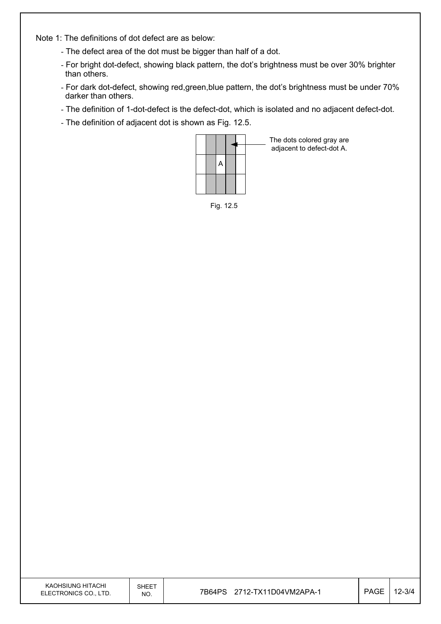Note 1: The definitions of dot defect are as below:

- The defect area of the dot must be bigger than half of a dot.
- For bright dot-defect, showing black pattern, the dot's brightness must be over 30% brighter than others.
- For dark dot-defect, showing red,green,blue pattern, the dot's brightness must be under 70% darker than others.
- The definition of 1-dot-defect is the defect-dot, which is isolated and no adjacent defect-dot.
- The definition of adjacent dot is shown as Fig. 12.5.



The dots colored gray are adjacent to defect-dot A.

Fig. 12.5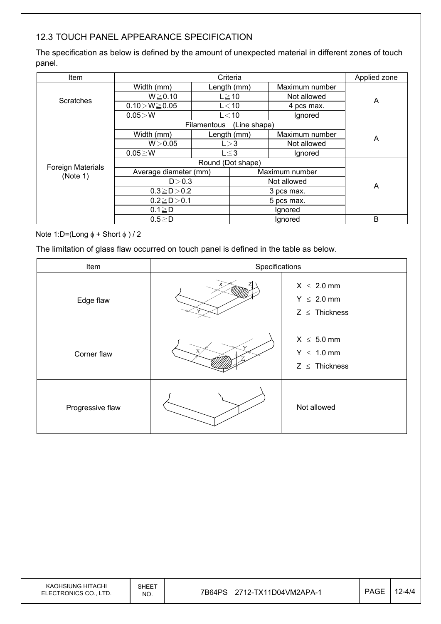### 12.3 TOUCH PANEL APPEARANCE SPECIFICATION

The specification as below is defined by the amount of unexpected material in different zones of touch panel.

| <b>Item</b>              | Criteria              |                   | Applied zone |                |   |
|--------------------------|-----------------------|-------------------|--------------|----------------|---|
|                          | Width (mm)            |                   | Length (mm)  | Maximum number |   |
| Scratches                | $W \ge 0.10$          |                   | $L \ge 10$   | Not allowed    | A |
|                          | $0.10 > W \ge 0.05$   |                   | $L<$ 10      | 4 pcs max.     |   |
|                          | $0.05\! >\! W$        |                   | $L<$ 10      | Ignored        |   |
|                          |                       | Filamentous       | (Line shape) |                |   |
|                          | Width (mm)            |                   | Length (mm)  | Maximum number | Α |
|                          | W > 0.05              | L > 3             |              | Not allowed    |   |
|                          | $0.05 \ge W$          | $L \leq 3$        |              | Ignored        |   |
| <b>Foreign Materials</b> |                       | Round (Dot shape) |              |                |   |
| (Note 1)                 | Average diameter (mm) |                   |              | Maximum number |   |
|                          | D > 0.3               |                   | Not allowed  |                | A |
|                          | $0.3 \ge D > 0.2$     |                   | 3 pcs max.   |                |   |
|                          | $0.2 \ge D > 0.1$     |                   | 5 pcs max.   |                |   |
|                          | $0.1 \geq D$          |                   |              | Ignored        |   |
|                          | $0.5 \geq D$          |                   |              | Ignored        | В |

Note 1:D=(Long  $\phi$  + Short  $\phi$ ) / 2

The limitation of glass flaw occurred on touch panel is defined in the table as below.

| Item             | Specifications |                                                          |
|------------------|----------------|----------------------------------------------------------|
| Edge flaw        |                | $X \leq 2.0$ mm<br>$Y \leq 2.0$ mm<br>$Z \leq$ Thickness |
| Corner flaw      |                | $X \leq 5.0$ mm<br>$Y \leq 1.0$ mm<br>$Z \leq$ Thickness |
| Progressive flaw |                | Not allowed                                              |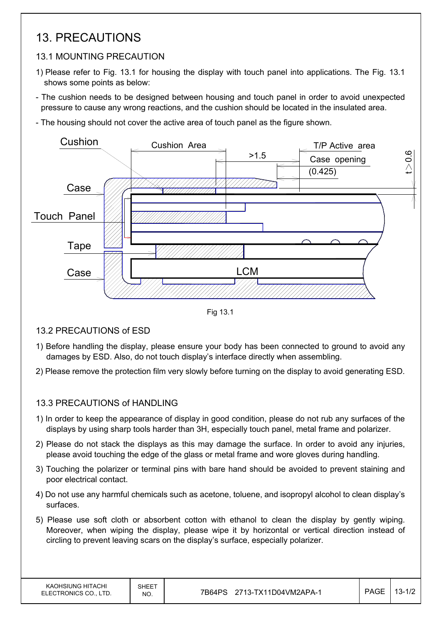### 13. PRECAUTIONS

#### 13.1 MOUNTING PRECAUTION

- 1) Please refer to Fig. 13.1 for housing the display with touch panel into applications. The Fig. 13.1 shows some points as below:
- The cushion needs to be designed between housing and touch panel in order to avoid unexpected pressure to cause any wrong reactions, and the cushion should be located in the insulated area.
- The housing should not cover the active area of touch panel as the figure shown.



Fig 13.1

13.2 PRECAUTIONS of ESD

- 1) Before handling the display, please ensure your body has been connected to ground to avoid any damages by ESD. Also, do not touch display's interface directly when assembling.
- 2) Please remove the protection film very slowly before turning on the display to avoid generating ESD.

#### 13.3 PRECAUTIONS of HANDLING

- 1) In order to keep the appearance of display in good condition, please do not rub any surfaces of the displays by using sharp tools harder than 3H, especially touch panel, metal frame and polarizer.
- 2) Please do not stack the displays as this may damage the surface. In order to avoid any injuries, please avoid touching the edge of the glass or metal frame and wore gloves during handling.
- 3) Touching the polarizer or terminal pins with bare hand should be avoided to prevent staining and poor electrical contact.
- 4) Do not use any harmful chemicals such as acetone, toluene, and isopropyl alcohol to clean display's surfaces.
- 5) Please use soft cloth or absorbent cotton with ethanol to clean the display by gently wiping. Moreover, when wiping the display, please wipe it by horizontal or vertical direction instead of circling to prevent leaving scars on the display's surface, especially polarizer.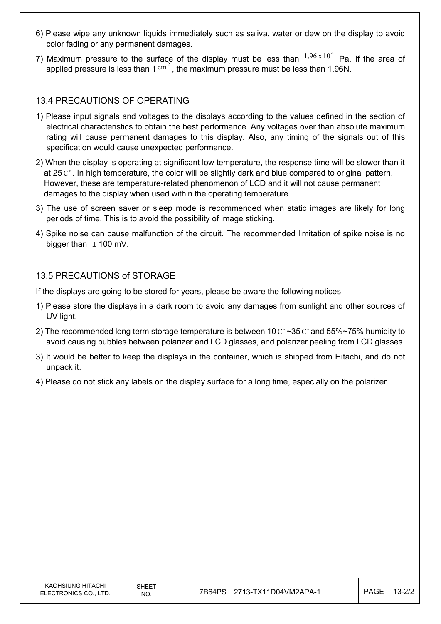- 6) Please wipe any unknown liquids immediately such as saliva, water or dew on the display to avoid color fading or any permanent damages.
- 7) Maximum pressure to the surface of the display must be less than  $1,96 \times 10^4$  Pa. If the area of applied pressure is less than  $1 \text{ cm}^2$ , the maximum pressure must be less than 1.96N.

#### 13.4 PRECAUTIONS OF OPERATING

- 1) Please input signals and voltages to the displays according to the values defined in the section of electrical characteristics to obtain the best performance. Any voltages over than absolute maximum rating will cause permanent damages to this display. Also, any timing of the signals out of this specification would cause unexpected performance.
- 2) When the display is operating at significant low temperature, the response time will be slower than it at 25  $\mathrm{C}^{\circ}$ . In high temperature, the color will be slightly dark and blue compared to original pattern. However, these are temperature-related phenomenon of LCD and it will not cause permanent damages to the display when used within the operating temperature.
- 3) The use of screen saver or sleep mode is recommended when static images are likely for long periods of time. This is to avoid the possibility of image sticking.
- 4) Spike noise can cause malfunction of the circuit. The recommended limitation of spike noise is no bigger than  $\pm$  100 mV.

#### 13.5 PRECAUTIONS of STORAGE

If the displays are going to be stored for years, please be aware the following notices.

- 1) Please store the displays in a dark room to avoid any damages from sunlight and other sources of UV light.
- 2) The recommended long term storage temperature is between 10  $\text{C}^{\circ}$  ~35  $\text{C}^{\circ}$  and 55%~75% humidity to avoid causing bubbles between polarizer and LCD glasses, and polarizer peeling from LCD glasses.
- 3) It would be better to keep the displays in the container, which is shipped from Hitachi, and do not unpack it.
- 4) Please do not stick any labels on the display surface for a long time, especially on the polarizer.